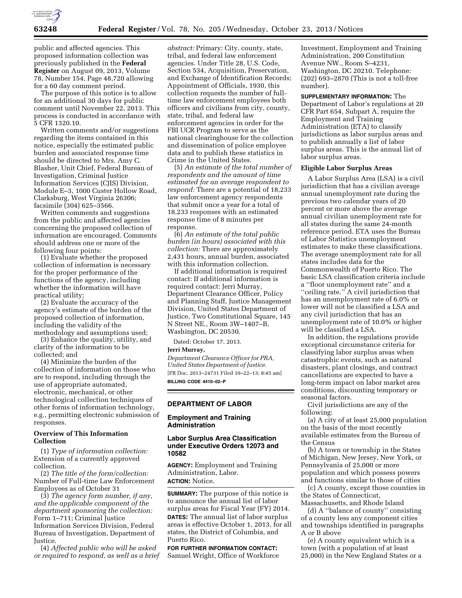

public and affected agencies. This proposed information collection was previously published in the **Federal Register** on August 09, 2013, Volume 78, Number 154, Page 48,720 allowing for a 60 day comment period.

The purpose of this notice is to allow for an additional 30 days for public comment until November 22, 2013. This process is conducted in accordance with 5 CFR 1320.10.

Written comments and/or suggestions regarding the items contained in this notice, especially the estimated public burden and associated response time should be directed to Mrs. Amy C. Blasher, Unit Chief, Federal Bureau of Investigation, Criminal Justice Information Services (CJIS) Division, Module E–3, 1000 Custer Hollow Road, Clarksburg, West Virginia 26306; facsimile (304) 625–3566.

Written comments and suggestions from the public and affected agencies concerning the proposed collection of information are encouraged. Comments should address one or more of the following four points:

(1) Evaluate whether the proposed collection of information is necessary for the proper performance of the functions of the agency, including whether the information will have practical utility;

(2) Evaluate the accuracy of the agency's estimate of the burden of the proposed collection of information, including the validity of the methodology and assumptions used;

(3) Enhance the quality, utility, and clarity of the information to be collected; and

(4) Minimize the burden of the collection of information on those who are to respond, including through the use of appropriate automated, electronic, mechanical, or other technological collection techniques of other forms of information technology, e.g., permitting electronic submission of responses.

## **Overview of This Information Collection**

(1) *Type of information collection:*  Extension of a currently approved collection.

(2) *The title of the form/collection:*  Number of Full-time Law Enforcement Employees as of October 31

(3) *The agency form number, if any, and the applicable component of the department sponsoring the collection:*  Form 1–711; Criminal Justice Information Services Division, Federal Bureau of Investigation, Department of Justice.

(4) *Affected public who will be asked or required to respond, as well as a brief* 

*abstract:* Primary: City, county, state, tribal, and federal law enforcement agencies. Under Title 28, U.S. Code, Section 534, Acquisition, Preservation, and Exchange of Identification Records; Appointment of Officials, 1930, this collection requests the number of fulltime law enforcement employees both officers and civilians from city, county, state, tribal, and federal law enforcement agencies in order for the FBI UCR Program to serve as the national clearinghouse for the collection and dissemination of police employee data and to publish these statistics in Crime in the United States.

(5) *An estimate of the total number of respondents and the amount of time estimated for an average respondent to respond:* There are a potential of 18,233 law enforcement agency respondents that submit once a year for a total of 18,233 responses with an estimated response time of 8 minutes per response.

(6) *An estimate of the total public burden (in hours) associated with this collection:* There are approximately 2,431 hours, annual burden, associated with this information collection.

If additional information is required contact: If additional information is required contact: Jerri Murray, Department Clearance Officer, Policy and Planning Staff, Justice Management Division, United States Department of Justice, Two Constitutional Square, 145 N Street NE., Room 3W–1407–B, Washington, DC 20530.

Dated: October 17, 2013.

### **Jerri Murray,**

*Department Clearance Officer for PRA, United States Department of Justice.*  [FR Doc. 2013–24731 Filed 10–22–13; 8:45 am] **BILLING CODE 4410–02–P** 

### **DEPARTMENT OF LABOR**

## **Employment and Training Administration**

### **Labor Surplus Area Classification under Executive Orders 12073 and 10582**

**AGENCY:** Employment and Training Administration, Labor. **ACTION:** Notice.

**SUMMARY:** The purpose of this notice is to announce the annual list of labor surplus areas for Fiscal Year (FY) 2014. **DATES:** The annual list of labor surplus areas is effective October 1, 2013, for all states, the District of Columbia, and Puerto Rico.

**FOR FURTHER INFORMATION CONTACT:**  Samuel Wright, Office of Workforce Investment, Employment and Training Administration, 200 Constitution Avenue NW., Room S–4231, Washington, DC 20210. Telephone: (202) 693–2870 (This is not a toll-free number).

#### **SUPPLEMENTARY INFORMATION:** The

Department of Labor's regulations at 20 CFR Part 654, Subpart A, require the Employment and Training Administration (ETA) to classify jurisdictions as labor surplus areas and to publish annually a list of labor surplus areas. This is the annual list of labor surplus areas.

#### **Eligible Labor Surplus Areas**

A Labor Surplus Area (LSA) is a civil jurisdiction that has a civilian average annual unemployment rate during the previous two calendar years of 20 percent or more above the average annual civilian unemployment rate for all states during the same 24-month reference period. ETA uses the Bureau of Labor Statistics unemployment estimates to make these classifications. The average unemployment rate for all states includes data for the Commonwealth of Puerto Rico. The basic LSA classification criteria include a ''floor unemployment rate'' and a ''ceiling rate.'' A civil jurisdiction that has an unemployment rate of 6.0% or lower will not be classified a LSA and any civil jurisdiction that has an unemployment rate of 10.0% or higher will be classified a LSA.

In addition, the regulations provide exceptional circumstance criteria for classifying labor surplus areas when catastrophic events, such as natural disasters, plant closings, and contract cancellations are expected to have a long-term impact on labor market area conditions, discounting temporary or seasonal factors.

Civil jurisdictions are any of the following:

(a) A city of at least 25,000 population on the basis of the most recently available estimates from the Bureau of the Census

(b) A town or township in the States of Michigan, New Jersey, New York, or Pennsylvania of 25,000 or more population and which possess powers and functions similar to those of cities

(c) A county, except those counties in the States of Connecticut, Massachusetts, and Rhode Island

(d) A ''balance of county'' consisting of a county less any component cities and townships identified in paragraphs A or B above

(e) A county equivalent which is a town (with a population of at least 25,000) in the New England States or a